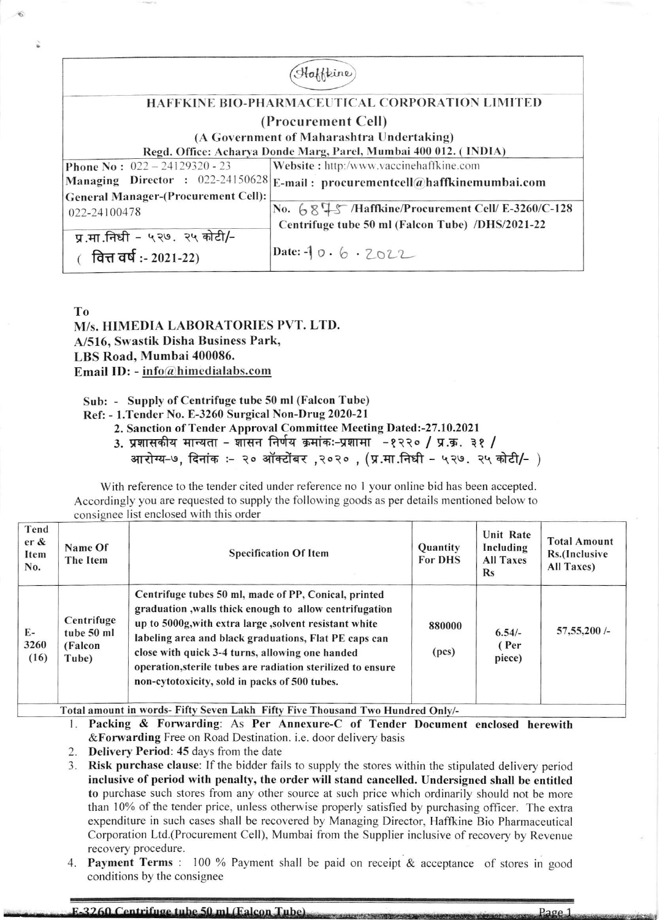| Haffkine                                                         |                                                   |  |  |  |  |
|------------------------------------------------------------------|---------------------------------------------------|--|--|--|--|
|                                                                  |                                                   |  |  |  |  |
| HAFFKINE BIO-PHARMACEUTICAL CORPORATION LIMITED                  |                                                   |  |  |  |  |
| (Procurement Cell)                                               |                                                   |  |  |  |  |
| (A Government of Maharashtra Undertaking)                        |                                                   |  |  |  |  |
| Regd. Office: Acharya Donde Marg, Parel, Mumbai 400 012. (INDIA) |                                                   |  |  |  |  |
| Phone No: $022 - 24129320 - 23$                                  | Website: http:/www.vaccinehaffkine.com            |  |  |  |  |
| Managing Director : 022-24150628                                 | E-mail: procurementcell@haffkinemumbai.com        |  |  |  |  |
| <b>General Manager-(Procurement Cell):</b>                       |                                                   |  |  |  |  |
| 022-24100478                                                     | No. 6845 /Haffkine/Procurement Cell/ E-3260/C-128 |  |  |  |  |
|                                                                  | Centrifuge tube 50 ml (Falcon Tube) /DHS/2021-22  |  |  |  |  |
| प्र.मा.निधी - ५२७. २५ कोटी/-                                     |                                                   |  |  |  |  |
| (वित्त वर्ष :- 2021-22)                                          | Date: $-10.6.7022$                                |  |  |  |  |
|                                                                  |                                                   |  |  |  |  |

T<sub>0</sub>

M/s. HIMEDIA LABORATORIES PVT. LTD. A/516, Swastik Disha Business Park, LBS Road, Mumbai 400086. Email ID: -  $info@himedialabs.com$ 

Sub: - Supply of Centrifuge tube 50 ml (Falcon Tube)

Ref: - 1. Tender No. E-3260 Surgical Non-Drug 2020-21

2. Sanction of Tender Approval Committee Meeting Dated:-27.10.2021

3. प्रशासकीय मान्यता - शासन निर्णय क्रमांकः-प्रशामा -१२२० / प्र.क्र. ३१ /

आरोग्य-७, दिनांक :- २० ऑक्टोंबर ,२०२० , (प्र.मा.निधी - ५२७. २५ कोटी/- )

With reference to the tender cited under reference no 1 your online bid has been accepted. Accordingly you are requested to supply the following goods as per details mentioned below to consignee list enclosed with this order

| Tend<br>$er \&$<br>Item<br>No. | Name Of<br>The Item                          | <b>Specification Of Item</b>                                                                                                                                                                                                                                                                                                                                                                         | <b>Quantity</b><br><b>For DHS</b> | Unit Rate<br>Including<br><b>All Taxes</b><br>$\mathbf{Rs}$ | <b>Total Amount</b><br>Rs.(Inclusive<br>All Taxes) |
|--------------------------------|----------------------------------------------|------------------------------------------------------------------------------------------------------------------------------------------------------------------------------------------------------------------------------------------------------------------------------------------------------------------------------------------------------------------------------------------------------|-----------------------------------|-------------------------------------------------------------|----------------------------------------------------|
| $E-$<br>3260<br>(16)           | Centrifuge<br>tube 50 ml<br>(Falcon<br>Tube) | Centrifuge tubes 50 ml, made of PP, Conical, printed<br>graduation, walls thick enough to allow centrifugation<br>up to 5000g, with extra large, solvent resistant white<br>labeling area and black graduations, Flat PE caps can<br>close with quick 3-4 turns, allowing one handed<br>operation, sterile tubes are radiation sterilized to ensure<br>non-cytotoxicity, sold in packs of 500 tubes. | 880000<br>(pcs)                   | $6.54/-$<br>(Per<br>piece)                                  | 57,55,200/                                         |

Total amount in words- Fifty Seven Lakh Fifty Five Thousand Two Hundred Only/-

- 1. Packing & Forwarding: As Per Annexure-C of Tender Document enclosed herewith &Forwarding Free on Road Destination. i.e. door delivery basis
- 2. Delivery Period: 45 days from the date

3. Risk purchase clause: If the bidder fails to supply the stores within the stipulated delivery period inclusive of period with penalty, the order will stand cancelled. Undersigned shall be entitled to purchase such stores from any other source at such price which ordinarily should not be more than 10% of the tender price, unless otherwise properly satisfied by purchasing officer. The extra expenditure in such cases shall be recovered by Managing Director, Haffkine Bio Pharmaceutical Corporation Ltd. (Procurement Cell), Mumbai from the Supplier inclusive of recovery by Revenue recovery procedure.

4. Payment Terms : 100 % Payment shall be paid on receipt & acceptance of stores in good conditions by the consignee

3260 Centrifuge tube 50 ml (Ealcon Tube) Page 1